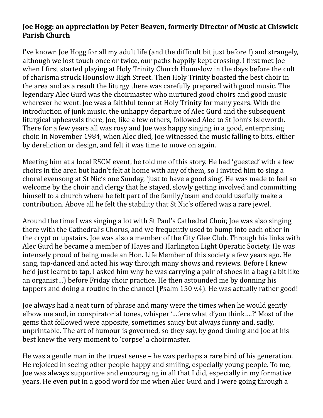## **Joe Hogg: an appreciation by Peter Beaven, formerly Director of Music at Chiswick Parish Church**

I've known Joe Hogg for all my adult life (and the difficult bit just before !) and strangely, although we lost touch once or twice, our paths happily kept crossing. I first met Joe when I first started playing at Holy Trinity Church Hounslow in the days before the cult of charisma struck Hounslow High Street. Then Holy Trinity boasted the best choir in the area and as a result the liturgy there was carefully prepared with good music. The legendary Alec Gurd was the choirmaster who nurtured good choirs and good music wherever he went. Joe was a faithful tenor at Holy Trinity for many years. With the introduction of junk music, the unhappy departure of Alec Gurd and the subsequent liturgical upheavals there, Joe, like a few others, followed Alec to St John's Isleworth. There for a few years all was rosy and Joe was happy singing in a good, enterprising choir. In November 1984, when Alec died, Joe witnessed the music falling to bits, either by dereliction or design, and felt it was time to move on again.

Meeting him at a local RSCM event, he told me of this story. He had 'guested' with a few choirs in the area but hadn't felt at home with any of them, so I invited him to sing a choral evensong at St Nic's one Sunday, 'just to have a good sing'. He was made to feel so welcome by the choir and clergy that he stayed, slowly getting involved and committing himself to a church where he felt part of the family/team and could usefully make a contribution. Above all he felt the stability that St Nic's offered was a rare jewel.

Around the time I was singing a lot with St Paul's Cathedral Choir, Joe was also singing there with the Cathedral's Chorus, and we frequently used to bump into each other in the crypt or upstairs. Joe was also a member of the City Glee Club. Through his links with Alec Gurd he became a member of Hayes and Harlington Light Operatic Society. He was intensely proud of being made an Hon. Life Member of this society a few years ago. He sang, tap-danced and acted his way through many shows and reviews. Before I knew he'd just learnt to tap, I asked him why he was carrying a pair of shoes in a bag (a bit like an organist...) before Friday choir practice. He then astounded me by donning his tappers and doing a routine in the chancel (Psalm  $150$  v.4). He was actually rather good!

Joe always had a neat turn of phrase and many were the times when he would gently elbow me and, in conspiratorial tones, whisper '...'ere what d'you think....?' Most of the gems that followed were apposite, sometimes saucy but always funny and, sadly, unprintable. The art of humour is governed, so they say, by good timing and Joe at his best knew the very moment to 'corpse' a choirmaster.

He was a gentle man in the truest sense  $-$  he was perhaps a rare bird of his generation. He rejoiced in seeing other people happy and smiling, especially young people. To me, Joe was always supportive and encouraging in all that I did, especially in my formative years. He even put in a good word for me when Alec Gurd and I were going through a